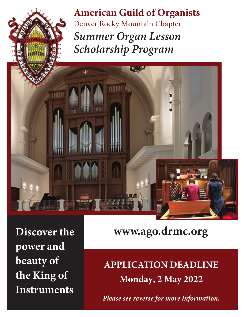**American Guild of Organists** Denver Rocky Mountain Chapter *Summer Organ Lesson Scholarship Program*

**Discover the power and beauty of the King of Instruments**

**www.ago.drmc.org**

**APPLICATION DEADLINE Monday, 2 May 2022**

*Please see reverse for more information.*